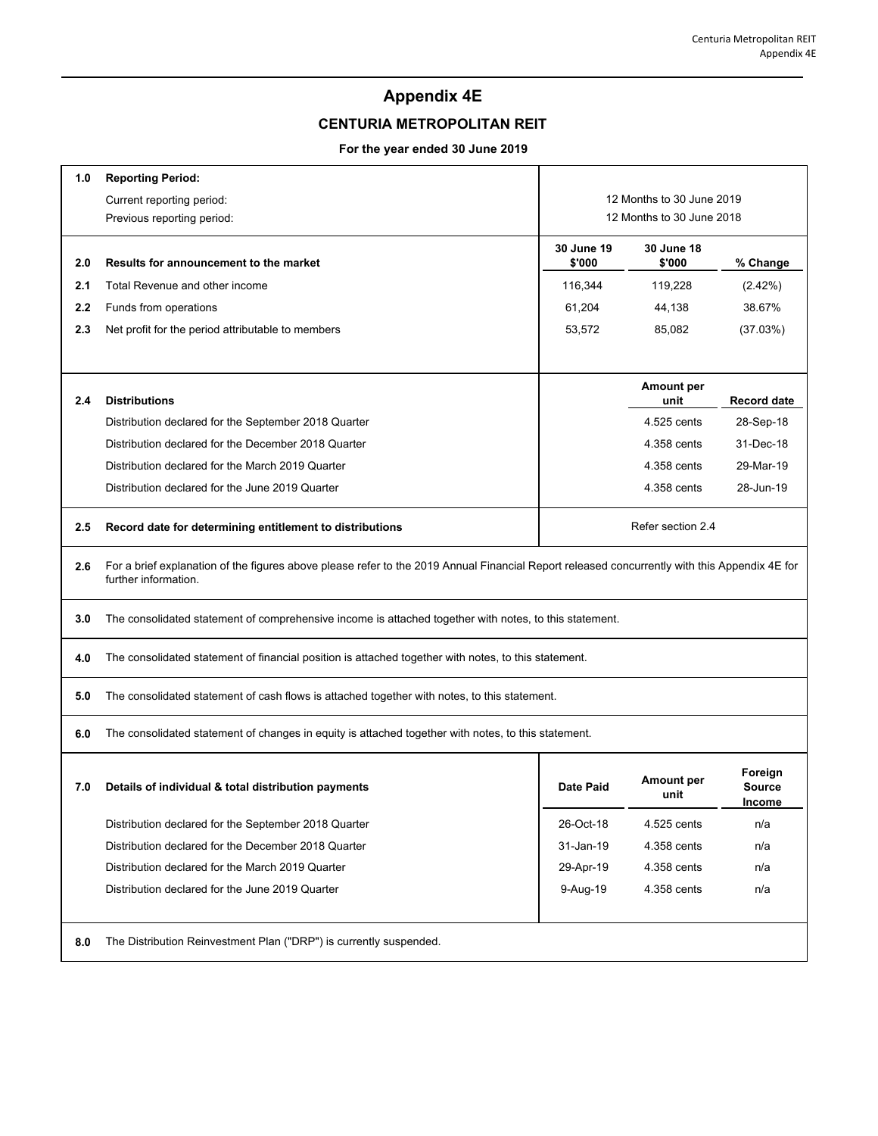## **Appendix 4E**

## **CENTURIA METROPOLITAN REIT**

## **For the year ended 30 June 2019**

| 1.0 | <b>Reporting Period:</b>                                                                                                                                              |                           |                           |                                    |  |  |
|-----|-----------------------------------------------------------------------------------------------------------------------------------------------------------------------|---------------------------|---------------------------|------------------------------------|--|--|
|     | Current reporting period:                                                                                                                                             | 12 Months to 30 June 2019 |                           |                                    |  |  |
|     | Previous reporting period:                                                                                                                                            | 12 Months to 30 June 2018 |                           |                                    |  |  |
| 2.0 | Results for announcement to the market                                                                                                                                | 30 June 19<br>\$'000      | 30 June 18<br>\$'000      | % Change                           |  |  |
| 2.1 | Total Revenue and other income                                                                                                                                        | 116,344                   | 119,228                   | (2.42%)                            |  |  |
| 2.2 | Funds from operations                                                                                                                                                 | 61,204                    | 44,138                    | 38.67%                             |  |  |
| 2.3 | Net profit for the period attributable to members                                                                                                                     | 53,572                    | 85,082                    | (37.03%)                           |  |  |
|     |                                                                                                                                                                       |                           |                           |                                    |  |  |
| 2.4 | <b>Distributions</b>                                                                                                                                                  |                           | Amount per<br>unit        | <b>Record date</b>                 |  |  |
|     | Distribution declared for the September 2018 Quarter                                                                                                                  |                           | 4.525 cents               | 28-Sep-18                          |  |  |
|     | Distribution declared for the December 2018 Quarter                                                                                                                   |                           | 4.358 cents               | 31-Dec-18                          |  |  |
|     | Distribution declared for the March 2019 Quarter                                                                                                                      |                           | 4.358 cents               | 29-Mar-19                          |  |  |
|     | Distribution declared for the June 2019 Quarter                                                                                                                       |                           | 4.358 cents               | 28-Jun-19                          |  |  |
| 2.5 | Record date for determining entitlement to distributions                                                                                                              | Refer section 2.4         |                           |                                    |  |  |
| 2.6 | For a brief explanation of the figures above please refer to the 2019 Annual Financial Report released concurrently with this Appendix 4E for<br>further information. |                           |                           |                                    |  |  |
| 3.0 | The consolidated statement of comprehensive income is attached together with notes, to this statement.                                                                |                           |                           |                                    |  |  |
| 4.0 | The consolidated statement of financial position is attached together with notes, to this statement.                                                                  |                           |                           |                                    |  |  |
| 5.0 | The consolidated statement of cash flows is attached together with notes, to this statement.                                                                          |                           |                           |                                    |  |  |
| 6.0 | The consolidated statement of changes in equity is attached together with notes, to this statement.                                                                   |                           |                           |                                    |  |  |
| 7.0 | Details of individual & total distribution payments                                                                                                                   | Date Paid                 | <b>Amount per</b><br>unit | Foreign<br><b>Source</b><br>Income |  |  |
|     | Distribution declared for the September 2018 Quarter                                                                                                                  | 26-Oct-18                 | 4.525 cents               | n/a                                |  |  |
|     | Distribution declared for the December 2018 Quarter                                                                                                                   | 31-Jan-19                 | 4.358 cents               | n/a                                |  |  |
|     | Distribution declared for the March 2019 Quarter                                                                                                                      | 29-Apr-19                 | 4.358 cents               | n/a                                |  |  |
|     | Distribution declared for the June 2019 Quarter                                                                                                                       | 9-Aug-19                  | 4.358 cents               | n/a                                |  |  |
| 8.0 | The Distribution Reinvestment Plan ("DRP") is currently suspended.                                                                                                    |                           |                           |                                    |  |  |